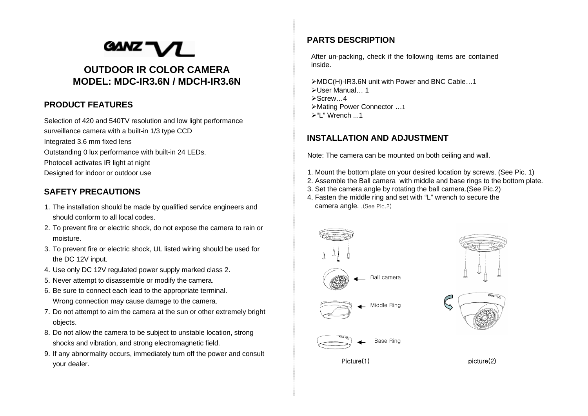# **GANZ' OUTDOOR IR COLOR CAMERAMODEL: MDC-IR3.6N / MDCH-IR3.6N**

#### **PRODUCT FEATURES**

Selection of 420 and 540TV resolution and low light performance surveillance camera with a built-in 1/3 type CCD Integrated 3.6 mm fixed lens Outstanding 0 lux performance with built-in 24 LEDs. Photocell activates IR light at night Designed for indoor or outdoor use

#### **SAFETY PRECAUTIONS**

- 1. The installation should be made by qualified service engineers and should conform to all local codes.
- 2. To prevent fire or electric shock, do not expose the camera to rain or moisture.
- 3. To prevent fire or electric shock, UL listed wiring should be used for the DC 12V input.
- 4. Use only DC 12V regulated power supply marked class 2.
- 5. Never attempt to disassemble or modify the camera.
- 6. Be sure to connect each lead to the appropriate terminal. Wrong connection may cause damage to the camera.
- 7. Do not attempt to aim the camera at the sun or other extremely bright objects.
- 8. Do not allow the camera to be subject to unstable location, strong shocks and vibration, and strong electromagnetic field.
- 9. If any abnormality occurs, immediately turn off the power and consult your dealer.

### **PARTS DESCRIPTION**

After un-packing, check if the following items are contained inside.

¾MDC(H)-IR3.6N unit with Power and BNC Cable…1 ¾User Manual… 1¾Screw…4¾Mating Power Connector …1  $\blacktriangleright$ "L" Wrench ...1

#### **INSTALLATION AND ADJUSTMENT**

Note: The camera can be mounted on both ceiling and wall.

- 1. Mount the bottom plate on your desired location by screws. (See Pic. 1)
- 2. Assemble the Ball camera with middle and base rings to the bottom plate.
- 3. Set the camera angle by rotating the ball camera.(See Pic.2)
- 4. Fasten the middle ring and set with "L" wrench to secure the camera angle. .(See Pic.2)